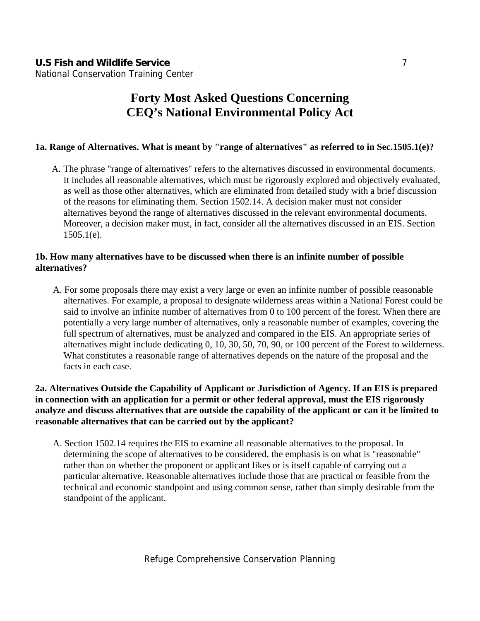# **Forty Most Asked Questions Concerning CEQ's National Environmental Policy Act**

## **1a. Range of Alternatives. What is meant by "range of alternatives" as referred to in Sec.1505.1(e)?**

 A. The phrase "range of alternatives" refers to the alternatives discussed in environmental documents. It includes all reasonable alternatives, which must be rigorously explored and objectively evaluated, as well as those other alternatives, which are eliminated from detailed study with a brief discussion of the reasons for eliminating them. Section 1502.14. A decision maker must not consider alternatives beyond the range of alternatives discussed in the relevant environmental documents. Moreover, a decision maker must, in fact, consider all the alternatives discussed in an EIS. Section  $1505.1(e)$ .

## **1b. How many alternatives have to be discussed when there is an infinite number of possible alternatives?**

 A. For some proposals there may exist a very large or even an infinite number of possible reasonable alternatives. For example, a proposal to designate wilderness areas within a National Forest could be said to involve an infinite number of alternatives from 0 to 100 percent of the forest. When there are potentially a very large number of alternatives, only a reasonable number of examples, covering the full spectrum of alternatives, must be analyzed and compared in the EIS. An appropriate series of alternatives might include dedicating 0, 10, 30, 50, 70, 90, or 100 percent of the Forest to wilderness. What constitutes a reasonable range of alternatives depends on the nature of the proposal and the facts in each case.

## **2a. Alternatives Outside the Capability of Applicant or Jurisdiction of Agency. If an EIS is prepared in connection with an application for a permit or other federal approval, must the EIS rigorously analyze and discuss alternatives that are outside the capability of the applicant or can it be limited to reasonable alternatives that can be carried out by the applicant?**

A. Section 1502.14 requires the EIS to examine all reasonable alternatives to the proposal. In determining the scope of alternatives to be considered, the emphasis is on what is "reasonable" rather than on whether the proponent or applicant likes or is itself capable of carrying out a particular alternative. Reasonable alternatives include those that are practical or feasible from the technical and economic standpoint and using common sense, rather than simply desirable from the standpoint of the applicant.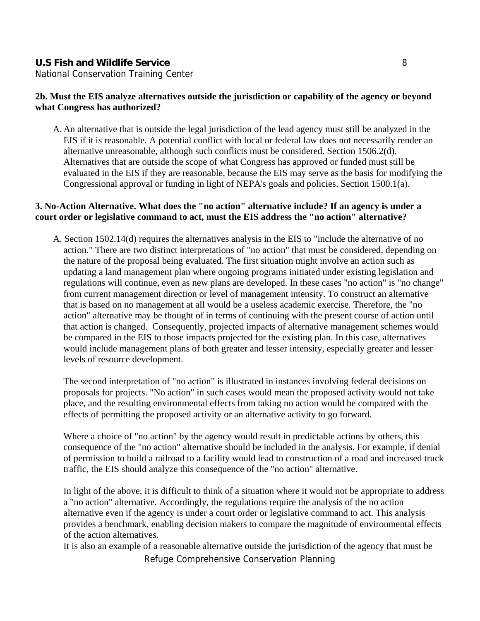## **2b. Must the EIS analyze alternatives outside the jurisdiction or capability of the agency or beyond what Congress has authorized?**

A. An alternative that is outside the legal jurisdiction of the lead agency must still be analyzed in the EIS if it is reasonable. A potential conflict with local or federal law does not necessarily render an alternative unreasonable, although such conflicts must be considered. Section 1506.2(d). Alternatives that are outside the scope of what Congress has approved or funded must still be evaluated in the EIS if they are reasonable, because the EIS may serve as the basis for modifying the Congressional approval or funding in light of NEPA's goals and policies. Section 1500.1(a).

#### **3. No-Action Alternative. What does the "no action" alternative include? If an agency is under a court order or legislative command to act, must the EIS address the "no action" alternative?**

A. Section 1502.14(d) requires the alternatives analysis in the EIS to "include the alternative of no action." There are two distinct interpretations of "no action" that must be considered, depending on the nature of the proposal being evaluated. The first situation might involve an action such as updating a land management plan where ongoing programs initiated under existing legislation and regulations will continue, even as new plans are developed. In these cases "no action" is "no change" from current management direction or level of management intensity. To construct an alternative that is based on no management at all would be a useless academic exercise. Therefore, the "no action" alternative may be thought of in terms of continuing with the present course of action until that action is changed. Consequently, projected impacts of alternative management schemes would be compared in the EIS to those impacts projected for the existing plan. In this case, alternatives would include management plans of both greater and lesser intensity, especially greater and lesser levels of resource development.

The second interpretation of "no action" is illustrated in instances involving federal decisions on proposals for projects. "No action" in such cases would mean the proposed activity would not take place, and the resulting environmental effects from taking no action would be compared with the effects of permitting the proposed activity or an alternative activity to go forward.

Where a choice of "no action" by the agency would result in predictable actions by others, this consequence of the "no action" alternative should be included in the analysis. For example, if denial of permission to build a railroad to a facility would lead to construction of a road and increased truck traffic, the EIS should analyze this consequence of the "no action" alternative.

In light of the above, it is difficult to think of a situation where it would not be appropriate to address a "no action" alternative. Accordingly, the regulations require the analysis of the no action alternative even if the agency is under a court order or legislative command to act. This analysis provides a benchmark, enabling decision makers to compare the magnitude of environmental effects of the action alternatives.

It is also an example of a reasonable alternative outside the jurisdiction of the agency that must be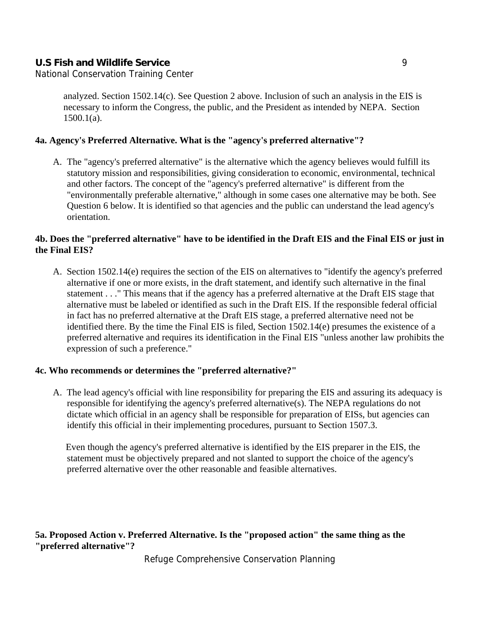National Conservation Training Center

analyzed. Section 1502.14(c). See Question 2 above. Inclusion of such an analysis in the EIS is necessary to inform the Congress, the public, and the President as intended by NEPA. Section 1500.1(a).

## **4a. Agency's Preferred Alternative. What is the "agency's preferred alternative"?**

A. The "agency's preferred alternative" is the alternative which the agency believes would fulfill its statutory mission and responsibilities, giving consideration to economic, environmental, technical and other factors. The concept of the "agency's preferred alternative" is different from the "environmentally preferable alternative," although in some cases one alternative may be both. See Question 6 below. It is identified so that agencies and the public can understand the lead agency's orientation.

## **4b. Does the "preferred alternative" have to be identified in the Draft EIS and the Final EIS or just in the Final EIS?**

A. Section 1502.14(e) requires the section of the EIS on alternatives to "identify the agency's preferred alternative if one or more exists, in the draft statement, and identify such alternative in the final statement . . ." This means that if the agency has a preferred alternative at the Draft EIS stage that alternative must be labeled or identified as such in the Draft EIS. If the responsible federal official in fact has no preferred alternative at the Draft EIS stage, a preferred alternative need not be identified there. By the time the Final EIS is filed, Section 1502.14(e) presumes the existence of a preferred alternative and requires its identification in the Final EIS "unless another law prohibits the expression of such a preference."

## **4c. Who recommends or determines the "preferred alternative?"**

A. The lead agency's official with line responsibility for preparing the EIS and assuring its adequacy is responsible for identifying the agency's preferred alternative(s). The NEPA regulations do not dictate which official in an agency shall be responsible for preparation of EISs, but agencies can identify this official in their implementing procedures, pursuant to Section 1507.3.

Even though the agency's preferred alternative is identified by the EIS preparer in the EIS, the statement must be objectively prepared and not slanted to support the choice of the agency's preferred alternative over the other reasonable and feasible alternatives.

## **5a. Proposed Action v. Preferred Alternative. Is the "proposed action" the same thing as the "preferred alternative"?**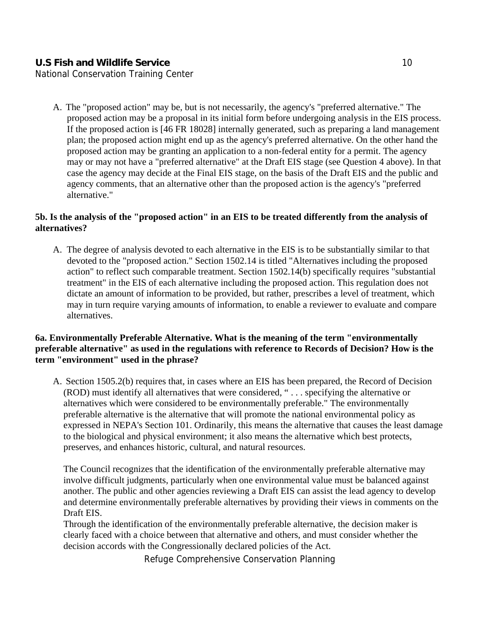A. The "proposed action" may be, but is not necessarily, the agency's "preferred alternative." The proposed action may be a proposal in its initial form before undergoing analysis in the EIS process. If the proposed action is [46 FR 18028] internally generated, such as preparing a land management plan; the proposed action might end up as the agency's preferred alternative. On the other hand the proposed action may be granting an application to a non-federal entity for a permit. The agency may or may not have a "preferred alternative" at the Draft EIS stage (see Question 4 above). In that case the agency may decide at the Final EIS stage, on the basis of the Draft EIS and the public and agency comments, that an alternative other than the proposed action is the agency's "preferred alternative."

## **5b. Is the analysis of the "proposed action" in an EIS to be treated differently from the analysis of alternatives?**

A. The degree of analysis devoted to each alternative in the EIS is to be substantially similar to that devoted to the "proposed action." Section 1502.14 is titled "Alternatives including the proposed action" to reflect such comparable treatment. Section 1502.14(b) specifically requires "substantial treatment" in the EIS of each alternative including the proposed action. This regulation does not dictate an amount of information to be provided, but rather, prescribes a level of treatment, which may in turn require varying amounts of information, to enable a reviewer to evaluate and compare alternatives.

## **6a. Environmentally Preferable Alternative. What is the meaning of the term "environmentally preferable alternative" as used in the regulations with reference to Records of Decision? How is the term "environment" used in the phrase?**

A. Section 1505.2(b) requires that, in cases where an EIS has been prepared, the Record of Decision (ROD) must identify all alternatives that were considered, " . . . specifying the alternative or alternatives which were considered to be environmentally preferable." The environmentally preferable alternative is the alternative that will promote the national environmental policy as expressed in NEPA's Section 101. Ordinarily, this means the alternative that causes the least damage to the biological and physical environment; it also means the alternative which best protects, preserves, and enhances historic, cultural, and natural resources.

The Council recognizes that the identification of the environmentally preferable alternative may involve difficult judgments, particularly when one environmental value must be balanced against another. The public and other agencies reviewing a Draft EIS can assist the lead agency to develop and determine environmentally preferable alternatives by providing their views in comments on the Draft EIS.

Through the identification of the environmentally preferable alternative, the decision maker is clearly faced with a choice between that alternative and others, and must consider whether the decision accords with the Congressionally declared policies of the Act.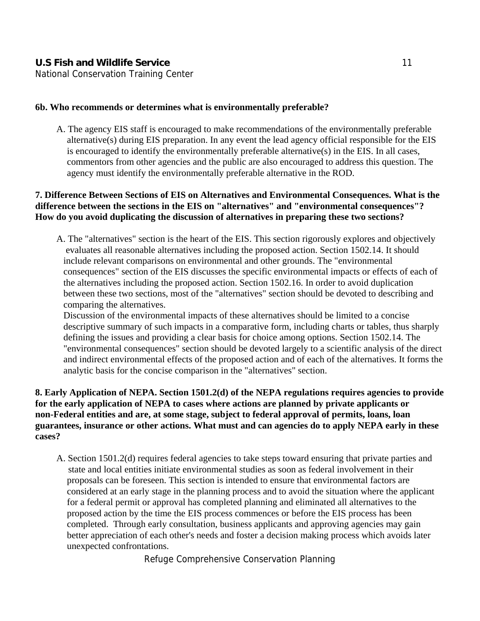## **6b. Who recommends or determines what is environmentally preferable?**

A. The agency EIS staff is encouraged to make recommendations of the environmentally preferable alternative(s) during EIS preparation. In any event the lead agency official responsible for the EIS is encouraged to identify the environmentally preferable alternative(s) in the EIS. In all cases, commentors from other agencies and the public are also encouraged to address this question. The agency must identify the environmentally preferable alternative in the ROD.

## **7. Difference Between Sections of EIS on Alternatives and Environmental Consequences. What is the difference between the sections in the EIS on "alternatives" and "environmental consequences"? How do you avoid duplicating the discussion of alternatives in preparing these two sections?**

 A. The "alternatives" section is the heart of the EIS. This section rigorously explores and objectively evaluates all reasonable alternatives including the proposed action. Section 1502.14. It should include relevant comparisons on environmental and other grounds. The "environmental consequences" section of the EIS discusses the specific environmental impacts or effects of each of the alternatives including the proposed action. Section 1502.16. In order to avoid duplication between these two sections, most of the "alternatives" section should be devoted to describing and comparing the alternatives.

Discussion of the environmental impacts of these alternatives should be limited to a concise descriptive summary of such impacts in a comparative form, including charts or tables, thus sharply defining the issues and providing a clear basis for choice among options. Section 1502.14. The "environmental consequences" section should be devoted largely to a scientific analysis of the direct and indirect environmental effects of the proposed action and of each of the alternatives. It forms the analytic basis for the concise comparison in the "alternatives" section.

## **8. Early Application of NEPA. Section 1501.2(d) of the NEPA regulations requires agencies to provide for the early application of NEPA to cases where actions are planned by private applicants or non-Federal entities and are, at some stage, subject to federal approval of permits, loans, loan guarantees, insurance or other actions. What must and can agencies do to apply NEPA early in these cases?**

 A. Section 1501.2(d) requires federal agencies to take steps toward ensuring that private parties and state and local entities initiate environmental studies as soon as federal involvement in their proposals can be foreseen. This section is intended to ensure that environmental factors are considered at an early stage in the planning process and to avoid the situation where the applicant for a federal permit or approval has completed planning and eliminated all alternatives to the proposed action by the time the EIS process commences or before the EIS process has been completed. Through early consultation, business applicants and approving agencies may gain better appreciation of each other's needs and foster a decision making process which avoids later unexpected confrontations.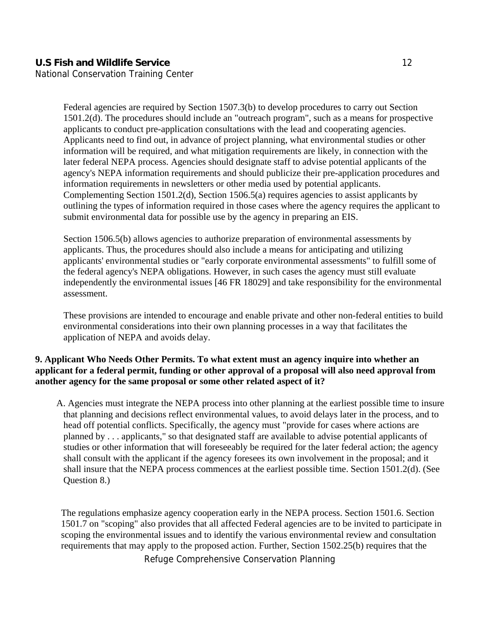Federal agencies are required by Section 1507.3(b) to develop procedures to carry out Section 1501.2(d). The procedures should include an "outreach program", such as a means for prospective applicants to conduct pre-application consultations with the lead and cooperating agencies. Applicants need to find out, in advance of project planning, what environmental studies or other information will be required, and what mitigation requirements are likely, in connection with the later federal NEPA process. Agencies should designate staff to advise potential applicants of the agency's NEPA information requirements and should publicize their pre-application procedures and information requirements in newsletters or other media used by potential applicants. Complementing Section 1501.2(d), Section 1506.5(a) requires agencies to assist applicants by outlining the types of information required in those cases where the agency requires the applicant to submit environmental data for possible use by the agency in preparing an EIS.

Section 1506.5(b) allows agencies to authorize preparation of environmental assessments by applicants. Thus, the procedures should also include a means for anticipating and utilizing applicants' environmental studies or "early corporate environmental assessments" to fulfill some of the federal agency's NEPA obligations. However, in such cases the agency must still evaluate independently the environmental issues [46 FR 18029] and take responsibility for the environmental assessment.

These provisions are intended to encourage and enable private and other non-federal entities to build environmental considerations into their own planning processes in a way that facilitates the application of NEPA and avoids delay.

## **9. Applicant Who Needs Other Permits. To what extent must an agency inquire into whether an applicant for a federal permit, funding or other approval of a proposal will also need approval from another agency for the same proposal or some other related aspect of it?**

A. Agencies must integrate the NEPA process into other planning at the earliest possible time to insure that planning and decisions reflect environmental values, to avoid delays later in the process, and to head off potential conflicts. Specifically, the agency must "provide for cases where actions are planned by . . . applicants," so that designated staff are available to advise potential applicants of studies or other information that will foreseeably be required for the later federal action; the agency shall consult with the applicant if the agency foresees its own involvement in the proposal; and it shall insure that the NEPA process commences at the earliest possible time. Section 1501.2(d). (See Question 8.)

 The regulations emphasize agency cooperation early in the NEPA process. Section 1501.6. Section 1501.7 on "scoping" also provides that all affected Federal agencies are to be invited to participate in scoping the environmental issues and to identify the various environmental review and consultation requirements that may apply to the proposed action. Further, Section 1502.25(b) requires that the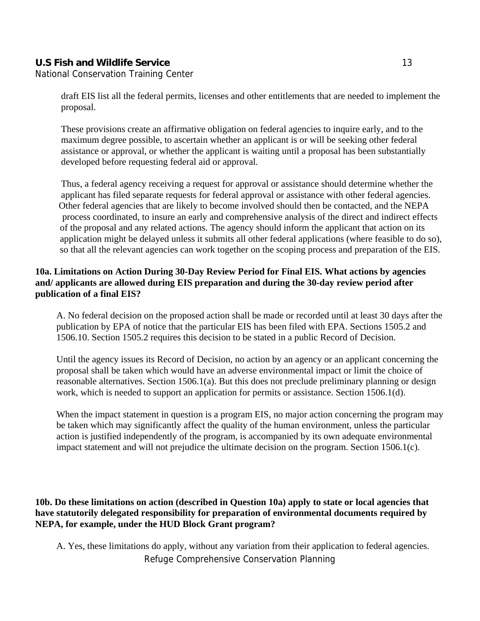National Conservation Training Center

draft EIS list all the federal permits, licenses and other entitlements that are needed to implement the proposal.

These provisions create an affirmative obligation on federal agencies to inquire early, and to the maximum degree possible, to ascertain whether an applicant is or will be seeking other federal assistance or approval, or whether the applicant is waiting until a proposal has been substantially developed before requesting federal aid or approval.

Thus, a federal agency receiving a request for approval or assistance should determine whether the applicant has filed separate requests for federal approval or assistance with other federal agencies. Other federal agencies that are likely to become involved should then be contacted, and the NEPA process coordinated, to insure an early and comprehensive analysis of the direct and indirect effects of the proposal and any related actions. The agency should inform the applicant that action on its application might be delayed unless it submits all other federal applications (where feasible to do so), so that all the relevant agencies can work together on the scoping process and preparation of the EIS.

## **10a. Limitations on Action During 30-Day Review Period for Final EIS. What actions by agencies and/ applicants are allowed during EIS preparation and during the 30-day review period after publication of a final EIS?**

A. No federal decision on the proposed action shall be made or recorded until at least 30 days after the publication by EPA of notice that the particular EIS has been filed with EPA. Sections 1505.2 and 1506.10. Section 1505.2 requires this decision to be stated in a public Record of Decision.

Until the agency issues its Record of Decision, no action by an agency or an applicant concerning the proposal shall be taken which would have an adverse environmental impact or limit the choice of reasonable alternatives. Section 1506.1(a). But this does not preclude preliminary planning or design work, which is needed to support an application for permits or assistance. Section 1506.1(d).

When the impact statement in question is a program EIS, no major action concerning the program may be taken which may significantly affect the quality of the human environment, unless the particular action is justified independently of the program, is accompanied by its own adequate environmental impact statement and will not prejudice the ultimate decision on the program. Section 1506.1(c).

## **10b. Do these limitations on action (described in Question 10a) apply to state or local agencies that have statutorily delegated responsibility for preparation of environmental documents required by NEPA, for example, under the HUD Block Grant program?**

Refuge Comprehensive Conservation Planning A. Yes, these limitations do apply, without any variation from their application to federal agencies.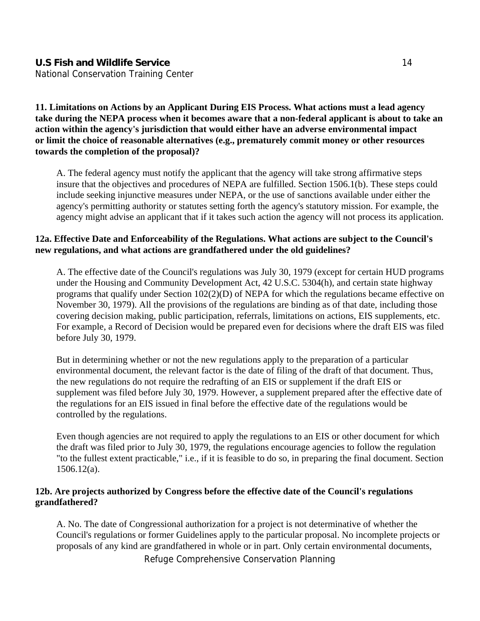**11. Limitations on Actions by an Applicant During EIS Process. What actions must a lead agency take during the NEPA process when it becomes aware that a non-federal applicant is about to take an action within the agency's jurisdiction that would either have an adverse environmental impact or limit the choice of reasonable alternatives (e.g., prematurely commit money or other resources towards the completion of the proposal)?** 

A. The federal agency must notify the applicant that the agency will take strong affirmative steps insure that the objectives and procedures of NEPA are fulfilled. Section 1506.1(b). These steps could include seeking injunctive measures under NEPA, or the use of sanctions available under either the agency's permitting authority or statutes setting forth the agency's statutory mission. For example, the agency might advise an applicant that if it takes such action the agency will not process its application.

## **12a. Effective Date and Enforceability of the Regulations. What actions are subject to the Council's new regulations, and what actions are grandfathered under the old guidelines?**

A. The effective date of the Council's regulations was July 30, 1979 (except for certain HUD programs under the Housing and Community Development Act, 42 U.S.C. 5304(h), and certain state highway programs that qualify under Section 102(2)(D) of NEPA for which the regulations became effective on November 30, 1979). All the provisions of the regulations are binding as of that date, including those covering decision making, public participation, referrals, limitations on actions, EIS supplements, etc. For example, a Record of Decision would be prepared even for decisions where the draft EIS was filed before July 30, 1979.

But in determining whether or not the new regulations apply to the preparation of a particular environmental document, the relevant factor is the date of filing of the draft of that document. Thus, the new regulations do not require the redrafting of an EIS or supplement if the draft EIS or supplement was filed before July 30, 1979. However, a supplement prepared after the effective date of the regulations for an EIS issued in final before the effective date of the regulations would be controlled by the regulations.

Even though agencies are not required to apply the regulations to an EIS or other document for which the draft was filed prior to July 30, 1979, the regulations encourage agencies to follow the regulation "to the fullest extent practicable," i.e., if it is feasible to do so, in preparing the final document. Section 1506.12(a).

#### **12b. Are projects authorized by Congress before the effective date of the Council's regulations grandfathered?**

 A. No. The date of Congressional authorization for a project is not determinative of whether the Council's regulations or former Guidelines apply to the particular proposal. No incomplete projects or proposals of any kind are grandfathered in whole or in part. Only certain environmental documents,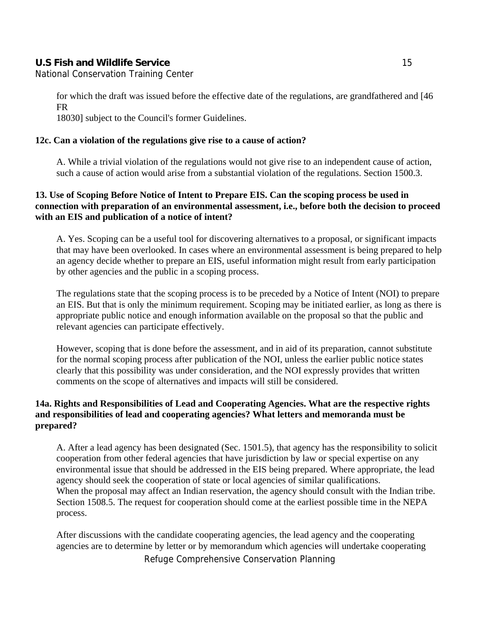National Conservation Training Center

for which the draft was issued before the effective date of the regulations, are grandfathered and [46 FR

18030] subject to the Council's former Guidelines.

#### **12c. Can a violation of the regulations give rise to a cause of action?**

A. While a trivial violation of the regulations would not give rise to an independent cause of action, such a cause of action would arise from a substantial violation of the regulations. Section 1500.3.

## **13. Use of Scoping Before Notice of Intent to Prepare EIS. Can the scoping process be used in connection with preparation of an environmental assessment, i.e., before both the decision to proceed with an EIS and publication of a notice of intent?**

A. Yes. Scoping can be a useful tool for discovering alternatives to a proposal, or significant impacts that may have been overlooked. In cases where an environmental assessment is being prepared to help an agency decide whether to prepare an EIS, useful information might result from early participation by other agencies and the public in a scoping process.

The regulations state that the scoping process is to be preceded by a Notice of Intent (NOI) to prepare an EIS. But that is only the minimum requirement. Scoping may be initiated earlier, as long as there is appropriate public notice and enough information available on the proposal so that the public and relevant agencies can participate effectively.

However, scoping that is done before the assessment, and in aid of its preparation, cannot substitute for the normal scoping process after publication of the NOI, unless the earlier public notice states clearly that this possibility was under consideration, and the NOI expressly provides that written comments on the scope of alternatives and impacts will still be considered.

## **14a. Rights and Responsibilities of Lead and Cooperating Agencies. What are the respective rights and responsibilities of lead and cooperating agencies? What letters and memoranda must be prepared?**

A. After a lead agency has been designated (Sec. 1501.5), that agency has the responsibility to solicit cooperation from other federal agencies that have jurisdiction by law or special expertise on any environmental issue that should be addressed in the EIS being prepared. Where appropriate, the lead agency should seek the cooperation of state or local agencies of similar qualifications. When the proposal may affect an Indian reservation, the agency should consult with the Indian tribe. Section 1508.5. The request for cooperation should come at the earliest possible time in the NEPA process.

After discussions with the candidate cooperating agencies, the lead agency and the cooperating agencies are to determine by letter or by memorandum which agencies will undertake cooperating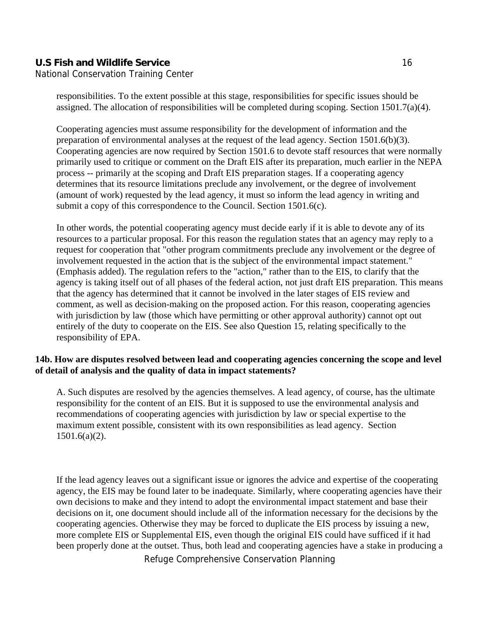National Conservation Training Center

responsibilities. To the extent possible at this stage, responsibilities for specific issues should be assigned. The allocation of responsibilities will be completed during scoping. Section 1501.7(a)(4).

Cooperating agencies must assume responsibility for the development of information and the preparation of environmental analyses at the request of the lead agency. Section 1501.6(b)(3). Cooperating agencies are now required by Section 1501.6 to devote staff resources that were normally primarily used to critique or comment on the Draft EIS after its preparation, much earlier in the NEPA process -- primarily at the scoping and Draft EIS preparation stages. If a cooperating agency determines that its resource limitations preclude any involvement, or the degree of involvement (amount of work) requested by the lead agency, it must so inform the lead agency in writing and submit a copy of this correspondence to the Council. Section 1501.6(c).

In other words, the potential cooperating agency must decide early if it is able to devote any of its resources to a particular proposal. For this reason the regulation states that an agency may reply to a request for cooperation that "other program commitments preclude any involvement or the degree of involvement requested in the action that is the subject of the environmental impact statement." (Emphasis added). The regulation refers to the "action," rather than to the EIS, to clarify that the agency is taking itself out of all phases of the federal action, not just draft EIS preparation. This means that the agency has determined that it cannot be involved in the later stages of EIS review and comment, as well as decision-making on the proposed action. For this reason, cooperating agencies with jurisdiction by law (those which have permitting or other approval authority) cannot opt out entirely of the duty to cooperate on the EIS. See also Question 15, relating specifically to the responsibility of EPA.

## **14b. How are disputes resolved between lead and cooperating agencies concerning the scope and level of detail of analysis and the quality of data in impact statements?**

A. Such disputes are resolved by the agencies themselves. A lead agency, of course, has the ultimate responsibility for the content of an EIS. But it is supposed to use the environmental analysis and recommendations of cooperating agencies with jurisdiction by law or special expertise to the maximum extent possible, consistent with its own responsibilities as lead agency. Section 1501.6(a)(2).

If the lead agency leaves out a significant issue or ignores the advice and expertise of the cooperating agency, the EIS may be found later to be inadequate. Similarly, where cooperating agencies have their own decisions to make and they intend to adopt the environmental impact statement and base their decisions on it, one document should include all of the information necessary for the decisions by the cooperating agencies. Otherwise they may be forced to duplicate the EIS process by issuing a new, more complete EIS or Supplemental EIS, even though the original EIS could have sufficed if it had been properly done at the outset. Thus, both lead and cooperating agencies have a stake in producing a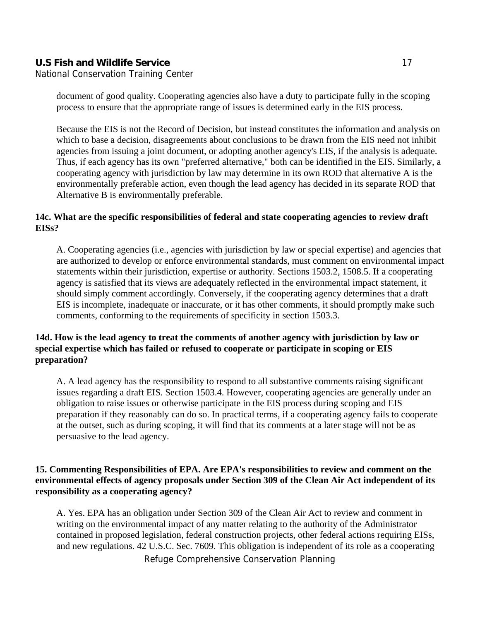National Conservation Training Center

document of good quality. Cooperating agencies also have a duty to participate fully in the scoping process to ensure that the appropriate range of issues is determined early in the EIS process.

Because the EIS is not the Record of Decision, but instead constitutes the information and analysis on which to base a decision, disagreements about conclusions to be drawn from the EIS need not inhibit agencies from issuing a joint document, or adopting another agency's EIS, if the analysis is adequate. Thus, if each agency has its own "preferred alternative," both can be identified in the EIS. Similarly, a cooperating agency with jurisdiction by law may determine in its own ROD that alternative A is the environmentally preferable action, even though the lead agency has decided in its separate ROD that Alternative B is environmentally preferable.

#### **14c. What are the specific responsibilities of federal and state cooperating agencies to review draft EISs?**

A. Cooperating agencies (i.e., agencies with jurisdiction by law or special expertise) and agencies that are authorized to develop or enforce environmental standards, must comment on environmental impact statements within their jurisdiction, expertise or authority. Sections 1503.2, 1508.5. If a cooperating agency is satisfied that its views are adequately reflected in the environmental impact statement, it should simply comment accordingly. Conversely, if the cooperating agency determines that a draft EIS is incomplete, inadequate or inaccurate, or it has other comments, it should promptly make such comments, conforming to the requirements of specificity in section 1503.3.

#### **14d. How is the lead agency to treat the comments of another agency with jurisdiction by law or special expertise which has failed or refused to cooperate or participate in scoping or EIS preparation?**

A. A lead agency has the responsibility to respond to all substantive comments raising significant issues regarding a draft EIS. Section 1503.4. However, cooperating agencies are generally under an obligation to raise issues or otherwise participate in the EIS process during scoping and EIS preparation if they reasonably can do so. In practical terms, if a cooperating agency fails to cooperate at the outset, such as during scoping, it will find that its comments at a later stage will not be as persuasive to the lead agency.

## **15. Commenting Responsibilities of EPA. Are EPA's responsibilities to review and comment on the environmental effects of agency proposals under Section 309 of the Clean Air Act independent of its responsibility as a cooperating agency?**

A. Yes. EPA has an obligation under Section 309 of the Clean Air Act to review and comment in writing on the environmental impact of any matter relating to the authority of the Administrator contained in proposed legislation, federal construction projects, other federal actions requiring EISs, and new regulations. 42 U.S.C. Sec. 7609. This obligation is independent of its role as a cooperating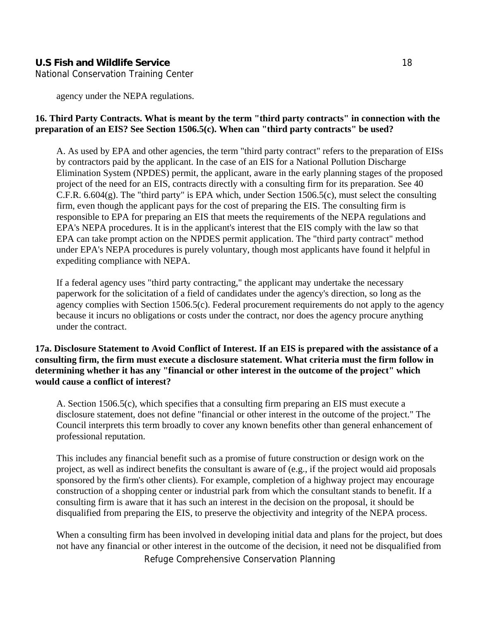agency under the NEPA regulations.

## **16. Third Party Contracts. What is meant by the term "third party contracts" in connection with the preparation of an EIS? See Section 1506.5(c). When can "third party contracts" be used?**

A. As used by EPA and other agencies, the term "third party contract" refers to the preparation of EISs by contractors paid by the applicant. In the case of an EIS for a National Pollution Discharge Elimination System (NPDES) permit, the applicant, aware in the early planning stages of the proposed project of the need for an EIS, contracts directly with a consulting firm for its preparation. See 40 C.F.R. 6.604(g). The "third party" is EPA which, under Section 1506.5(c), must select the consulting firm, even though the applicant pays for the cost of preparing the EIS. The consulting firm is responsible to EPA for preparing an EIS that meets the requirements of the NEPA regulations and EPA's NEPA procedures. It is in the applicant's interest that the EIS comply with the law so that EPA can take prompt action on the NPDES permit application. The "third party contract" method under EPA's NEPA procedures is purely voluntary, though most applicants have found it helpful in expediting compliance with NEPA.

If a federal agency uses "third party contracting," the applicant may undertake the necessary paperwork for the solicitation of a field of candidates under the agency's direction, so long as the agency complies with Section 1506.5(c). Federal procurement requirements do not apply to the agency because it incurs no obligations or costs under the contract, nor does the agency procure anything under the contract.

## **17a. Disclosure Statement to Avoid Conflict of Interest. If an EIS is prepared with the assistance of a consulting firm, the firm must execute a disclosure statement. What criteria must the firm follow in determining whether it has any "financial or other interest in the outcome of the project" which would cause a conflict of interest?**

A. Section 1506.5(c), which specifies that a consulting firm preparing an EIS must execute a disclosure statement, does not define "financial or other interest in the outcome of the project." The Council interprets this term broadly to cover any known benefits other than general enhancement of professional reputation.

This includes any financial benefit such as a promise of future construction or design work on the project, as well as indirect benefits the consultant is aware of (e.g., if the project would aid proposals sponsored by the firm's other clients). For example, completion of a highway project may encourage construction of a shopping center or industrial park from which the consultant stands to benefit. If a consulting firm is aware that it has such an interest in the decision on the proposal, it should be disqualified from preparing the EIS, to preserve the objectivity and integrity of the NEPA process.

When a consulting firm has been involved in developing initial data and plans for the project, but does not have any financial or other interest in the outcome of the decision, it need not be disqualified from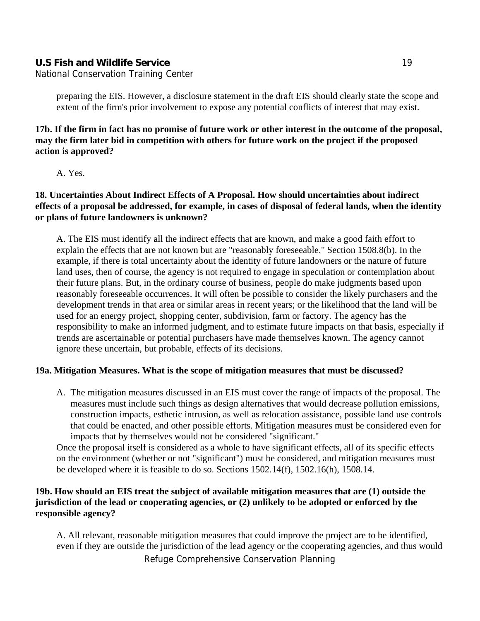National Conservation Training Center

preparing the EIS. However, a disclosure statement in the draft EIS should clearly state the scope and extent of the firm's prior involvement to expose any potential conflicts of interest that may exist.

**17b. If the firm in fact has no promise of future work or other interest in the outcome of the proposal, may the firm later bid in competition with others for future work on the project if the proposed action is approved?** 

A. Yes.

## **18. Uncertainties About Indirect Effects of A Proposal. How should uncertainties about indirect effects of a proposal be addressed, for example, in cases of disposal of federal lands, when the identity or plans of future landowners is unknown?**

A. The EIS must identify all the indirect effects that are known, and make a good faith effort to explain the effects that are not known but are "reasonably foreseeable." Section 1508.8(b). In the example, if there is total uncertainty about the identity of future landowners or the nature of future land uses, then of course, the agency is not required to engage in speculation or contemplation about their future plans. But, in the ordinary course of business, people do make judgments based upon reasonably foreseeable occurrences. It will often be possible to consider the likely purchasers and the development trends in that area or similar areas in recent years; or the likelihood that the land will be used for an energy project, shopping center, subdivision, farm or factory. The agency has the responsibility to make an informed judgment, and to estimate future impacts on that basis, especially if trends are ascertainable or potential purchasers have made themselves known. The agency cannot ignore these uncertain, but probable, effects of its decisions.

#### **19a. Mitigation Measures. What is the scope of mitigation measures that must be discussed?**

A. The mitigation measures discussed in an EIS must cover the range of impacts of the proposal. The measures must include such things as design alternatives that would decrease pollution emissions, construction impacts, esthetic intrusion, as well as relocation assistance, possible land use controls that could be enacted, and other possible efforts. Mitigation measures must be considered even for impacts that by themselves would not be considered "significant."

Once the proposal itself is considered as a whole to have significant effects, all of its specific effects on the environment (whether or not "significant") must be considered, and mitigation measures must be developed where it is feasible to do so. Sections 1502.14(f), 1502.16(h), 1508.14.

## **19b. How should an EIS treat the subject of available mitigation measures that are (1) outside the jurisdiction of the lead or cooperating agencies, or (2) unlikely to be adopted or enforced by the responsible agency?**

Refuge Comprehensive Conservation Planning A. All relevant, reasonable mitigation measures that could improve the project are to be identified, even if they are outside the jurisdiction of the lead agency or the cooperating agencies, and thus would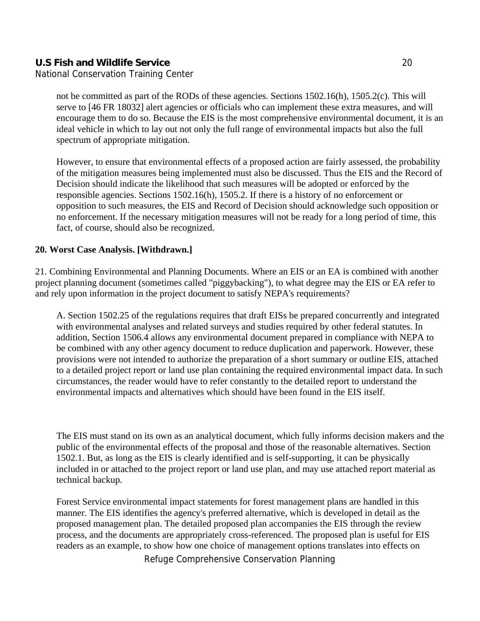National Conservation Training Center

not be committed as part of the RODs of these agencies. Sections 1502.16(h), 1505.2(c). This will serve to [46 FR 18032] alert agencies or officials who can implement these extra measures, and will encourage them to do so. Because the EIS is the most comprehensive environmental document, it is an ideal vehicle in which to lay out not only the full range of environmental impacts but also the full spectrum of appropriate mitigation.

However, to ensure that environmental effects of a proposed action are fairly assessed, the probability of the mitigation measures being implemented must also be discussed. Thus the EIS and the Record of Decision should indicate the likelihood that such measures will be adopted or enforced by the responsible agencies. Sections 1502.16(h), 1505.2. If there is a history of no enforcement or opposition to such measures, the EIS and Record of Decision should acknowledge such opposition or no enforcement. If the necessary mitigation measures will not be ready for a long period of time, this fact, of course, should also be recognized.

## **20. Worst Case Analysis. [Withdrawn.]**

21. Combining Environmental and Planning Documents. Where an EIS or an EA is combined with another project planning document (sometimes called "piggybacking"), to what degree may the EIS or EA refer to and rely upon information in the project document to satisfy NEPA's requirements?

A. Section 1502.25 of the regulations requires that draft EISs be prepared concurrently and integrated with environmental analyses and related surveys and studies required by other federal statutes. In addition, Section 1506.4 allows any environmental document prepared in compliance with NEPA to be combined with any other agency document to reduce duplication and paperwork. However, these provisions were not intended to authorize the preparation of a short summary or outline EIS, attached to a detailed project report or land use plan containing the required environmental impact data. In such circumstances, the reader would have to refer constantly to the detailed report to understand the environmental impacts and alternatives which should have been found in the EIS itself.

The EIS must stand on its own as an analytical document, which fully informs decision makers and the public of the environmental effects of the proposal and those of the reasonable alternatives. Section 1502.1. But, as long as the EIS is clearly identified and is self-supporting, it can be physically included in or attached to the project report or land use plan, and may use attached report material as technical backup.

Forest Service environmental impact statements for forest management plans are handled in this manner. The EIS identifies the agency's preferred alternative, which is developed in detail as the proposed management plan. The detailed proposed plan accompanies the EIS through the review process, and the documents are appropriately cross-referenced. The proposed plan is useful for EIS readers as an example, to show how one choice of management options translates into effects on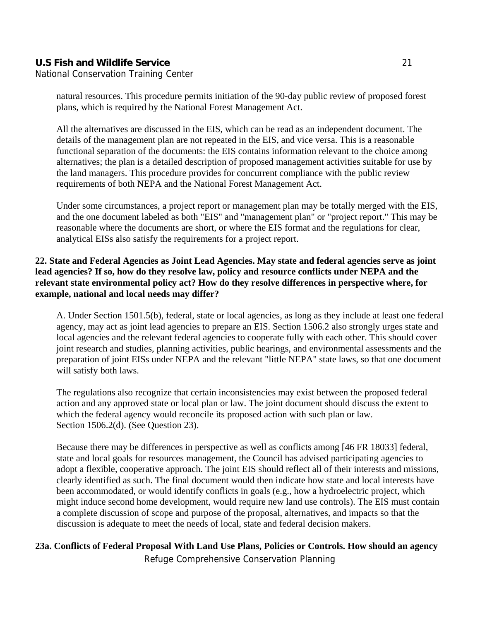National Conservation Training Center

natural resources. This procedure permits initiation of the 90-day public review of proposed forest plans, which is required by the National Forest Management Act.

All the alternatives are discussed in the EIS, which can be read as an independent document. The details of the management plan are not repeated in the EIS, and vice versa. This is a reasonable functional separation of the documents: the EIS contains information relevant to the choice among alternatives; the plan is a detailed description of proposed management activities suitable for use by the land managers. This procedure provides for concurrent compliance with the public review requirements of both NEPA and the National Forest Management Act.

Under some circumstances, a project report or management plan may be totally merged with the EIS, and the one document labeled as both "EIS" and "management plan" or "project report." This may be reasonable where the documents are short, or where the EIS format and the regulations for clear, analytical EISs also satisfy the requirements for a project report.

## **22. State and Federal Agencies as Joint Lead Agencies. May state and federal agencies serve as joint lead agencies? If so, how do they resolve law, policy and resource conflicts under NEPA and the relevant state environmental policy act? How do they resolve differences in perspective where, for example, national and local needs may differ?**

A. Under Section 1501.5(b), federal, state or local agencies, as long as they include at least one federal agency, may act as joint lead agencies to prepare an EIS. Section 1506.2 also strongly urges state and local agencies and the relevant federal agencies to cooperate fully with each other. This should cover joint research and studies, planning activities, public hearings, and environmental assessments and the preparation of joint EISs under NEPA and the relevant "little NEPA" state laws, so that one document will satisfy both laws.

The regulations also recognize that certain inconsistencies may exist between the proposed federal action and any approved state or local plan or law. The joint document should discuss the extent to which the federal agency would reconcile its proposed action with such plan or law. Section 1506.2(d). (See Question 23).

Because there may be differences in perspective as well as conflicts among [46 FR 18033] federal, state and local goals for resources management, the Council has advised participating agencies to adopt a flexible, cooperative approach. The joint EIS should reflect all of their interests and missions, clearly identified as such. The final document would then indicate how state and local interests have been accommodated, or would identify conflicts in goals (e.g., how a hydroelectric project, which might induce second home development, would require new land use controls). The EIS must contain a complete discussion of scope and purpose of the proposal, alternatives, and impacts so that the discussion is adequate to meet the needs of local, state and federal decision makers.

## Refuge Comprehensive Conservation Planning **23a. Conflicts of Federal Proposal With Land Use Plans, Policies or Controls. How should an agency**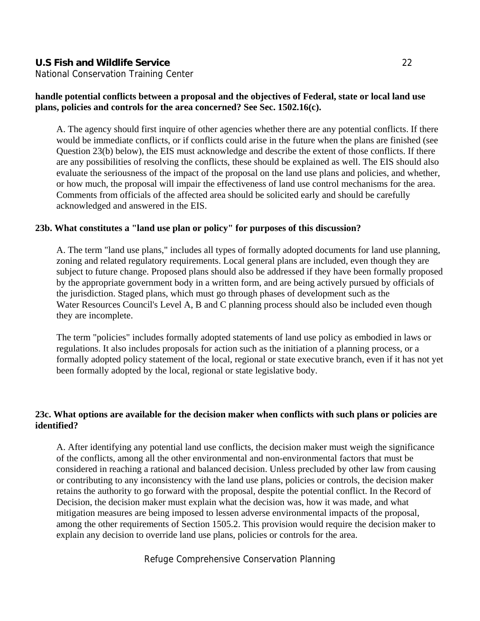## **handle potential conflicts between a proposal and the objectives of Federal, state or local land use plans, policies and controls for the area concerned? See Sec. 1502.16(c).**

A. The agency should first inquire of other agencies whether there are any potential conflicts. If there would be immediate conflicts, or if conflicts could arise in the future when the plans are finished (see Question 23(b) below), the EIS must acknowledge and describe the extent of those conflicts. If there are any possibilities of resolving the conflicts, these should be explained as well. The EIS should also evaluate the seriousness of the impact of the proposal on the land use plans and policies, and whether, or how much, the proposal will impair the effectiveness of land use control mechanisms for the area. Comments from officials of the affected area should be solicited early and should be carefully acknowledged and answered in the EIS.

#### **23b. What constitutes a "land use plan or policy" for purposes of this discussion?**

A. The term "land use plans," includes all types of formally adopted documents for land use planning, zoning and related regulatory requirements. Local general plans are included, even though they are subject to future change. Proposed plans should also be addressed if they have been formally proposed by the appropriate government body in a written form, and are being actively pursued by officials of the jurisdiction. Staged plans, which must go through phases of development such as the Water Resources Council's Level A, B and C planning process should also be included even though they are incomplete.

The term "policies" includes formally adopted statements of land use policy as embodied in laws or regulations. It also includes proposals for action such as the initiation of a planning process, or a formally adopted policy statement of the local, regional or state executive branch, even if it has not yet been formally adopted by the local, regional or state legislative body.

## **23c. What options are available for the decision maker when conflicts with such plans or policies are identified?**

A. After identifying any potential land use conflicts, the decision maker must weigh the significance of the conflicts, among all the other environmental and non-environmental factors that must be considered in reaching a rational and balanced decision. Unless precluded by other law from causing or contributing to any inconsistency with the land use plans, policies or controls, the decision maker retains the authority to go forward with the proposal, despite the potential conflict. In the Record of Decision, the decision maker must explain what the decision was, how it was made, and what mitigation measures are being imposed to lessen adverse environmental impacts of the proposal, among the other requirements of Section 1505.2. This provision would require the decision maker to explain any decision to override land use plans, policies or controls for the area.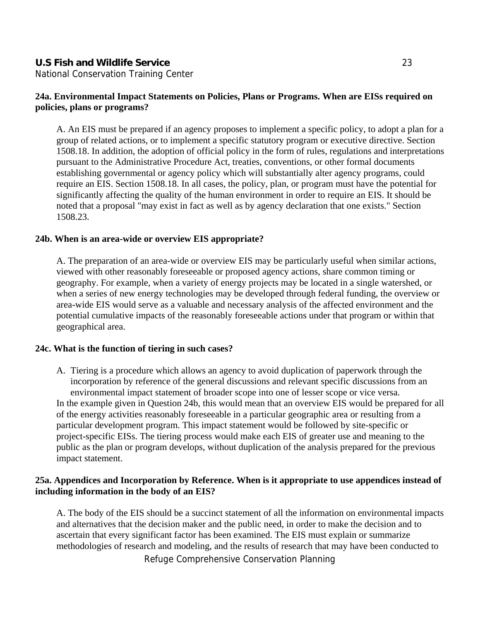## **24a. Environmental Impact Statements on Policies, Plans or Programs. When are EISs required on policies, plans or programs?**

A. An EIS must be prepared if an agency proposes to implement a specific policy, to adopt a plan for a group of related actions, or to implement a specific statutory program or executive directive. Section 1508.18. In addition, the adoption of official policy in the form of rules, regulations and interpretations pursuant to the Administrative Procedure Act, treaties, conventions, or other formal documents establishing governmental or agency policy which will substantially alter agency programs, could require an EIS. Section 1508.18. In all cases, the policy, plan, or program must have the potential for significantly affecting the quality of the human environment in order to require an EIS. It should be noted that a proposal "may exist in fact as well as by agency declaration that one exists." Section 1508.23.

## **24b. When is an area-wide or overview EIS appropriate?**

A. The preparation of an area-wide or overview EIS may be particularly useful when similar actions, viewed with other reasonably foreseeable or proposed agency actions, share common timing or geography. For example, when a variety of energy projects may be located in a single watershed, or when a series of new energy technologies may be developed through federal funding, the overview or area-wide EIS would serve as a valuable and necessary analysis of the affected environment and the potential cumulative impacts of the reasonably foreseeable actions under that program or within that geographical area.

#### **24c. What is the function of tiering in such cases?**

A. Tiering is a procedure which allows an agency to avoid duplication of paperwork through the incorporation by reference of the general discussions and relevant specific discussions from an environmental impact statement of broader scope into one of lesser scope or vice versa. In the example given in Question 24b, this would mean that an overview EIS would be prepared for all of the energy activities reasonably foreseeable in a particular geographic area or resulting from a particular development program. This impact statement would be followed by site-specific or project-specific EISs. The tiering process would make each EIS of greater use and meaning to the public as the plan or program develops, without duplication of the analysis prepared for the previous impact statement.

## **25a. Appendices and Incorporation by Reference. When is it appropriate to use appendices instead of including information in the body of an EIS?**

A. The body of the EIS should be a succinct statement of all the information on environmental impacts and alternatives that the decision maker and the public need, in order to make the decision and to ascertain that every significant factor has been examined. The EIS must explain or summarize methodologies of research and modeling, and the results of research that may have been conducted to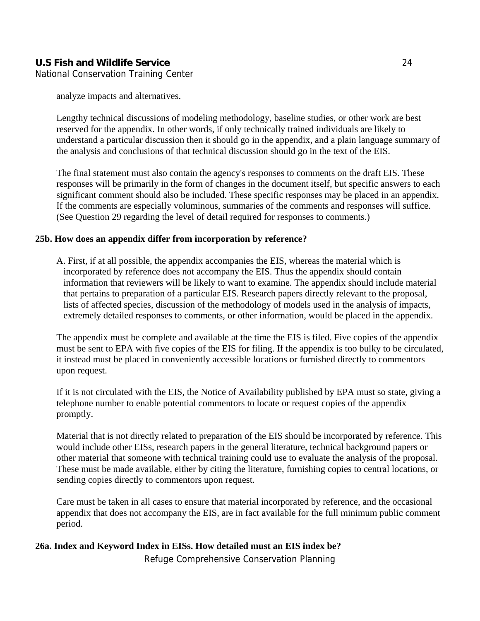National Conservation Training Center

analyze impacts and alternatives.

Lengthy technical discussions of modeling methodology, baseline studies, or other work are best reserved for the appendix. In other words, if only technically trained individuals are likely to understand a particular discussion then it should go in the appendix, and a plain language summary of the analysis and conclusions of that technical discussion should go in the text of the EIS.

The final statement must also contain the agency's responses to comments on the draft EIS. These responses will be primarily in the form of changes in the document itself, but specific answers to each significant comment should also be included. These specific responses may be placed in an appendix. If the comments are especially voluminous, summaries of the comments and responses will suffice. (See Question 29 regarding the level of detail required for responses to comments.)

#### **25b. How does an appendix differ from incorporation by reference?**

 A. First, if at all possible, the appendix accompanies the EIS, whereas the material which is incorporated by reference does not accompany the EIS. Thus the appendix should contain information that reviewers will be likely to want to examine. The appendix should include material that pertains to preparation of a particular EIS. Research papers directly relevant to the proposal, lists of affected species, discussion of the methodology of models used in the analysis of impacts, extremely detailed responses to comments, or other information, would be placed in the appendix.

The appendix must be complete and available at the time the EIS is filed. Five copies of the appendix must be sent to EPA with five copies of the EIS for filing. If the appendix is too bulky to be circulated, it instead must be placed in conveniently accessible locations or furnished directly to commentors upon request.

If it is not circulated with the EIS, the Notice of Availability published by EPA must so state, giving a telephone number to enable potential commentors to locate or request copies of the appendix promptly.

Material that is not directly related to preparation of the EIS should be incorporated by reference. This would include other EISs, research papers in the general literature, technical background papers or other material that someone with technical training could use to evaluate the analysis of the proposal. These must be made available, either by citing the literature, furnishing copies to central locations, or sending copies directly to commentors upon request.

Care must be taken in all cases to ensure that material incorporated by reference, and the occasional appendix that does not accompany the EIS, are in fact available for the full minimum public comment period.

# **26a. Index and Keyword Index in EISs. How detailed must an EIS index be?**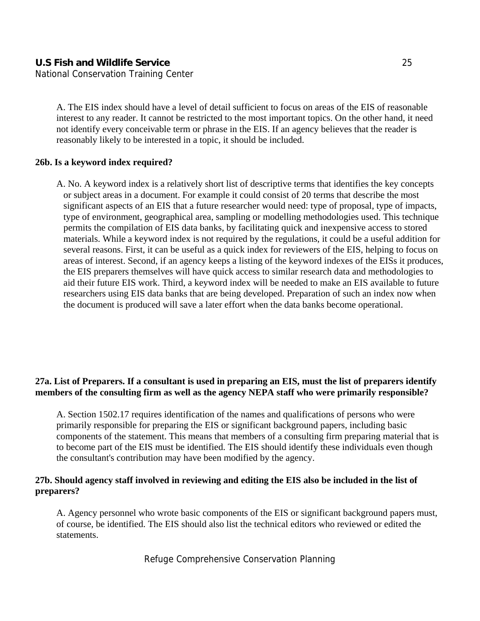A. The EIS index should have a level of detail sufficient to focus on areas of the EIS of reasonable interest to any reader. It cannot be restricted to the most important topics. On the other hand, it need not identify every conceivable term or phrase in the EIS. If an agency believes that the reader is reasonably likely to be interested in a topic, it should be included.

## **26b. Is a keyword index required?**

 A. No. A keyword index is a relatively short list of descriptive terms that identifies the key concepts or subject areas in a document. For example it could consist of 20 terms that describe the most significant aspects of an EIS that a future researcher would need: type of proposal, type of impacts, type of environment, geographical area, sampling or modelling methodologies used. This technique permits the compilation of EIS data banks, by facilitating quick and inexpensive access to stored materials. While a keyword index is not required by the regulations, it could be a useful addition for several reasons. First, it can be useful as a quick index for reviewers of the EIS, helping to focus on areas of interest. Second, if an agency keeps a listing of the keyword indexes of the EISs it produces, the EIS preparers themselves will have quick access to similar research data and methodologies to aid their future EIS work. Third, a keyword index will be needed to make an EIS available to future researchers using EIS data banks that are being developed. Preparation of such an index now when the document is produced will save a later effort when the data banks become operational.

## **27a. List of Preparers. If a consultant is used in preparing an EIS, must the list of preparers identify members of the consulting firm as well as the agency NEPA staff who were primarily responsible?**

A. Section 1502.17 requires identification of the names and qualifications of persons who were primarily responsible for preparing the EIS or significant background papers, including basic components of the statement. This means that members of a consulting firm preparing material that is to become part of the EIS must be identified. The EIS should identify these individuals even though the consultant's contribution may have been modified by the agency.

## **27b. Should agency staff involved in reviewing and editing the EIS also be included in the list of preparers?**

A. Agency personnel who wrote basic components of the EIS or significant background papers must, of course, be identified. The EIS should also list the technical editors who reviewed or edited the statements.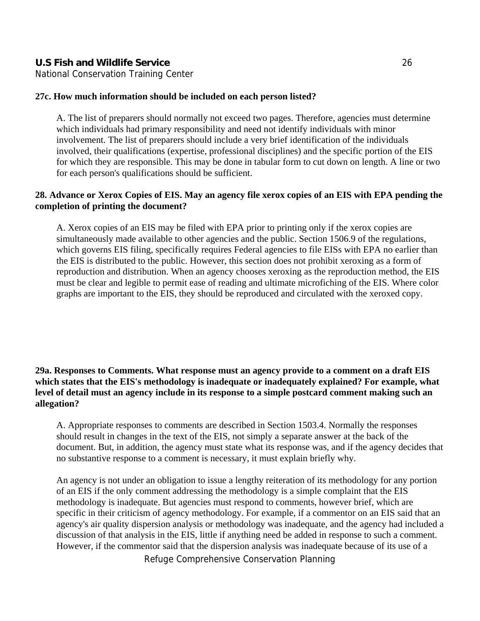National Conservation Training Center

#### **27c. How much information should be included on each person listed?**

A. The list of preparers should normally not exceed two pages. Therefore, agencies must determine which individuals had primary responsibility and need not identify individuals with minor involvement. The list of preparers should include a very brief identification of the individuals involved, their qualifications (expertise, professional disciplines) and the specific portion of the EIS for which they are responsible. This may be done in tabular form to cut down on length. A line or two for each person's qualifications should be sufficient.

## **28. Advance or Xerox Copies of EIS. May an agency file xerox copies of an EIS with EPA pending the completion of printing the document?**

A. Xerox copies of an EIS may be filed with EPA prior to printing only if the xerox copies are simultaneously made available to other agencies and the public. Section 1506.9 of the regulations, which governs EIS filing, specifically requires Federal agencies to file EISs with EPA no earlier than the EIS is distributed to the public. However, this section does not prohibit xeroxing as a form of reproduction and distribution. When an agency chooses xeroxing as the reproduction method, the EIS must be clear and legible to permit ease of reading and ultimate microfiching of the EIS. Where color graphs are important to the EIS, they should be reproduced and circulated with the xeroxed copy.

## **29a. Responses to Comments. What response must an agency provide to a comment on a draft EIS which states that the EIS's methodology is inadequate or inadequately explained? For example, what level of detail must an agency include in its response to a simple postcard comment making such an allegation?**

A. Appropriate responses to comments are described in Section 1503.4. Normally the responses should result in changes in the text of the EIS, not simply a separate answer at the back of the document. But, in addition, the agency must state what its response was, and if the agency decides that no substantive response to a comment is necessary, it must explain briefly why.

An agency is not under an obligation to issue a lengthy reiteration of its methodology for any portion of an EIS if the only comment addressing the methodology is a simple complaint that the EIS methodology is inadequate. But agencies must respond to comments, however brief, which are specific in their criticism of agency methodology. For example, if a commentor on an EIS said that an agency's air quality dispersion analysis or methodology was inadequate, and the agency had included a discussion of that analysis in the EIS, little if anything need be added in response to such a comment. However, if the commentor said that the dispersion analysis was inadequate because of its use of a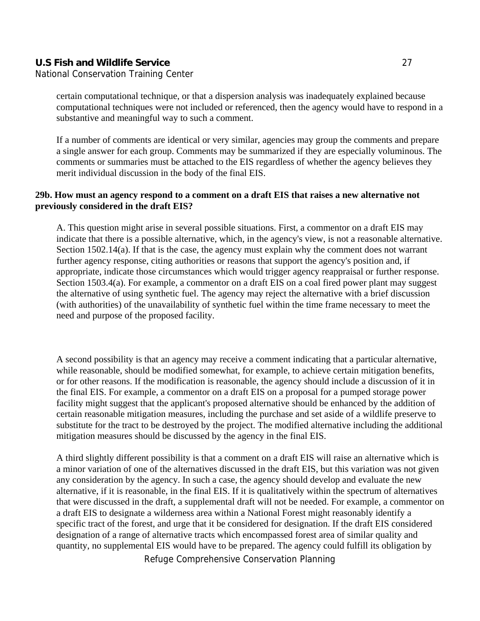National Conservation Training Center

certain computational technique, or that a dispersion analysis was inadequately explained because computational techniques were not included or referenced, then the agency would have to respond in a substantive and meaningful way to such a comment.

 If a number of comments are identical or very similar, agencies may group the comments and prepare a single answer for each group. Comments may be summarized if they are especially voluminous. The comments or summaries must be attached to the EIS regardless of whether the agency believes they merit individual discussion in the body of the final EIS.

## **29b. How must an agency respond to a comment on a draft EIS that raises a new alternative not previously considered in the draft EIS?**

A. This question might arise in several possible situations. First, a commentor on a draft EIS may indicate that there is a possible alternative, which, in the agency's view, is not a reasonable alternative. Section 1502.14(a). If that is the case, the agency must explain why the comment does not warrant further agency response, citing authorities or reasons that support the agency's position and, if appropriate, indicate those circumstances which would trigger agency reappraisal or further response. Section 1503.4(a). For example, a commentor on a draft EIS on a coal fired power plant may suggest the alternative of using synthetic fuel. The agency may reject the alternative with a brief discussion (with authorities) of the unavailability of synthetic fuel within the time frame necessary to meet the need and purpose of the proposed facility.

A second possibility is that an agency may receive a comment indicating that a particular alternative, while reasonable, should be modified somewhat, for example, to achieve certain mitigation benefits, or for other reasons. If the modification is reasonable, the agency should include a discussion of it in the final EIS. For example, a commentor on a draft EIS on a proposal for a pumped storage power facility might suggest that the applicant's proposed alternative should be enhanced by the addition of certain reasonable mitigation measures, including the purchase and set aside of a wildlife preserve to substitute for the tract to be destroyed by the project. The modified alternative including the additional mitigation measures should be discussed by the agency in the final EIS.

A third slightly different possibility is that a comment on a draft EIS will raise an alternative which is a minor variation of one of the alternatives discussed in the draft EIS, but this variation was not given any consideration by the agency. In such a case, the agency should develop and evaluate the new alternative, if it is reasonable, in the final EIS. If it is qualitatively within the spectrum of alternatives that were discussed in the draft, a supplemental draft will not be needed. For example, a commentor on a draft EIS to designate a wilderness area within a National Forest might reasonably identify a specific tract of the forest, and urge that it be considered for designation. If the draft EIS considered designation of a range of alternative tracts which encompassed forest area of similar quality and quantity, no supplemental EIS would have to be prepared. The agency could fulfill its obligation by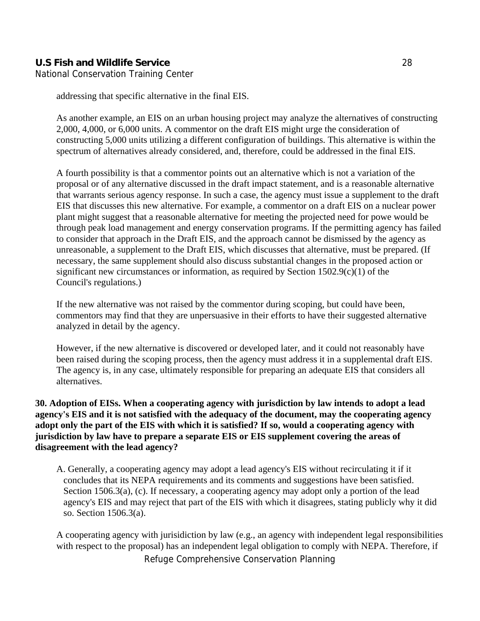National Conservation Training Center

addressing that specific alternative in the final EIS.

As another example, an EIS on an urban housing project may analyze the alternatives of constructing 2,000, 4,000, or 6,000 units. A commentor on the draft EIS might urge the consideration of constructing 5,000 units utilizing a different configuration of buildings. This alternative is within the spectrum of alternatives already considered, and, therefore, could be addressed in the final EIS.

A fourth possibility is that a commentor points out an alternative which is not a variation of the proposal or of any alternative discussed in the draft impact statement, and is a reasonable alternative that warrants serious agency response. In such a case, the agency must issue a supplement to the draft EIS that discusses this new alternative. For example, a commentor on a draft EIS on a nuclear power plant might suggest that a reasonable alternative for meeting the projected need for powe would be through peak load management and energy conservation programs. If the permitting agency has failed to consider that approach in the Draft EIS, and the approach cannot be dismissed by the agency as unreasonable, a supplement to the Draft EIS, which discusses that alternative, must be prepared. (If necessary, the same supplement should also discuss substantial changes in the proposed action or significant new circumstances or information, as required by Section 1502.9(c)(1) of the Council's regulations.)

If the new alternative was not raised by the commentor during scoping, but could have been, commentors may find that they are unpersuasive in their efforts to have their suggested alternative analyzed in detail by the agency.

However, if the new alternative is discovered or developed later, and it could not reasonably have been raised during the scoping process, then the agency must address it in a supplemental draft EIS. The agency is, in any case, ultimately responsible for preparing an adequate EIS that considers all alternatives.

**30. Adoption of EISs. When a cooperating agency with jurisdiction by law intends to adopt a lead agency's EIS and it is not satisfied with the adequacy of the document, may the cooperating agency adopt only the part of the EIS with which it is satisfied? If so, would a cooperating agency with jurisdiction by law have to prepare a separate EIS or EIS supplement covering the areas of disagreement with the lead agency?** 

 A. Generally, a cooperating agency may adopt a lead agency's EIS without recirculating it if it concludes that its NEPA requirements and its comments and suggestions have been satisfied. Section 1506.3(a), (c). If necessary, a cooperating agency may adopt only a portion of the lead agency's EIS and may reject that part of the EIS with which it disagrees, stating publicly why it did so. Section 1506.3(a).

Refuge Comprehensive Conservation Planning A cooperating agency with jurisidiction by law (e.g., an agency with independent legal responsibilities with respect to the proposal) has an independent legal obligation to comply with NEPA. Therefore, if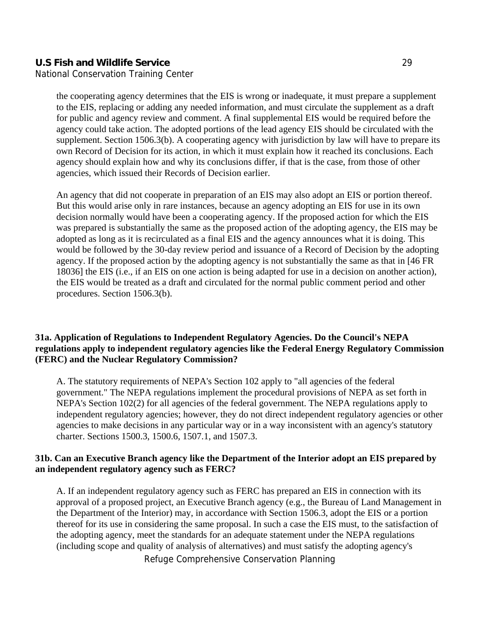National Conservation Training Center

the cooperating agency determines that the EIS is wrong or inadequate, it must prepare a supplement to the EIS, replacing or adding any needed information, and must circulate the supplement as a draft for public and agency review and comment. A final supplemental EIS would be required before the agency could take action. The adopted portions of the lead agency EIS should be circulated with the supplement. Section 1506.3(b). A cooperating agency with jurisdiction by law will have to prepare its own Record of Decision for its action, in which it must explain how it reached its conclusions. Each agency should explain how and why its conclusions differ, if that is the case, from those of other agencies, which issued their Records of Decision earlier.

 An agency that did not cooperate in preparation of an EIS may also adopt an EIS or portion thereof. But this would arise only in rare instances, because an agency adopting an EIS for use in its own decision normally would have been a cooperating agency. If the proposed action for which the EIS was prepared is substantially the same as the proposed action of the adopting agency, the EIS may be adopted as long as it is recirculated as a final EIS and the agency announces what it is doing. This would be followed by the 30-day review period and issuance of a Record of Decision by the adopting agency. If the proposed action by the adopting agency is not substantially the same as that in [46 FR 18036] the EIS (i.e., if an EIS on one action is being adapted for use in a decision on another action), the EIS would be treated as a draft and circulated for the normal public comment period and other procedures. Section 1506.3(b).

## **31a. Application of Regulations to Independent Regulatory Agencies. Do the Council's NEPA regulations apply to independent regulatory agencies like the Federal Energy Regulatory Commission (FERC) and the Nuclear Regulatory Commission?**

A. The statutory requirements of NEPA's Section 102 apply to "all agencies of the federal government." The NEPA regulations implement the procedural provisions of NEPA as set forth in NEPA's Section 102(2) for all agencies of the federal government. The NEPA regulations apply to independent regulatory agencies; however, they do not direct independent regulatory agencies or other agencies to make decisions in any particular way or in a way inconsistent with an agency's statutory charter. Sections 1500.3, 1500.6, 1507.1, and 1507.3.

## **31b. Can an Executive Branch agency like the Department of the Interior adopt an EIS prepared by an independent regulatory agency such as FERC?**

A. If an independent regulatory agency such as FERC has prepared an EIS in connection with its approval of a proposed project, an Executive Branch agency (e.g., the Bureau of Land Management in the Department of the Interior) may, in accordance with Section 1506.3, adopt the EIS or a portion thereof for its use in considering the same proposal. In such a case the EIS must, to the satisfaction of the adopting agency, meet the standards for an adequate statement under the NEPA regulations (including scope and quality of analysis of alternatives) and must satisfy the adopting agency's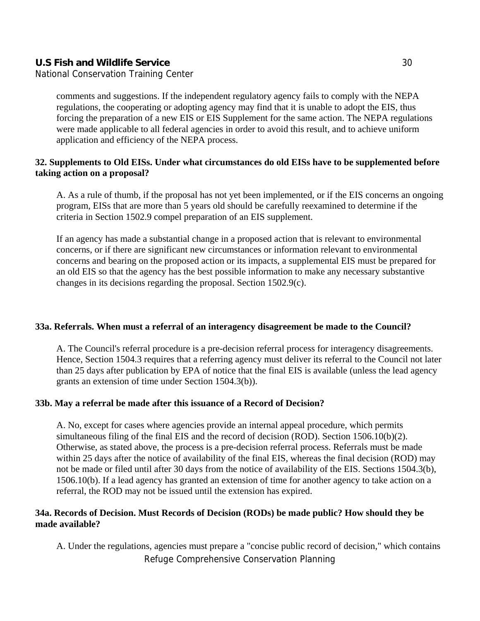National Conservation Training Center

comments and suggestions. If the independent regulatory agency fails to comply with the NEPA regulations, the cooperating or adopting agency may find that it is unable to adopt the EIS, thus forcing the preparation of a new EIS or EIS Supplement for the same action. The NEPA regulations were made applicable to all federal agencies in order to avoid this result, and to achieve uniform application and efficiency of the NEPA process.

## **32. Supplements to Old EISs. Under what circumstances do old EISs have to be supplemented before taking action on a proposal?**

A. As a rule of thumb, if the proposal has not yet been implemented, or if the EIS concerns an ongoing program, EISs that are more than 5 years old should be carefully reexamined to determine if the criteria in Section 1502.9 compel preparation of an EIS supplement.

If an agency has made a substantial change in a proposed action that is relevant to environmental concerns, or if there are significant new circumstances or information relevant to environmental concerns and bearing on the proposed action or its impacts, a supplemental EIS must be prepared for an old EIS so that the agency has the best possible information to make any necessary substantive changes in its decisions regarding the proposal. Section 1502.9(c).

## **33a. Referrals. When must a referral of an interagency disagreement be made to the Council?**

A. The Council's referral procedure is a pre-decision referral process for interagency disagreements. Hence, Section 1504.3 requires that a referring agency must deliver its referral to the Council not later than 25 days after publication by EPA of notice that the final EIS is available (unless the lead agency grants an extension of time under Section 1504.3(b)).

## **33b. May a referral be made after this issuance of a Record of Decision?**

A. No, except for cases where agencies provide an internal appeal procedure, which permits simultaneous filing of the final EIS and the record of decision (ROD). Section 1506.10(b)(2). Otherwise, as stated above, the process is a pre-decision referral process. Referrals must be made within 25 days after the notice of availability of the final EIS, whereas the final decision (ROD) may not be made or filed until after 30 days from the notice of availability of the EIS. Sections 1504.3(b), 1506.10(b). If a lead agency has granted an extension of time for another agency to take action on a referral, the ROD may not be issued until the extension has expired.

## **34a. Records of Decision. Must Records of Decision (RODs) be made public? How should they be made available?**

Refuge Comprehensive Conservation Planning A. Under the regulations, agencies must prepare a "concise public record of decision," which contains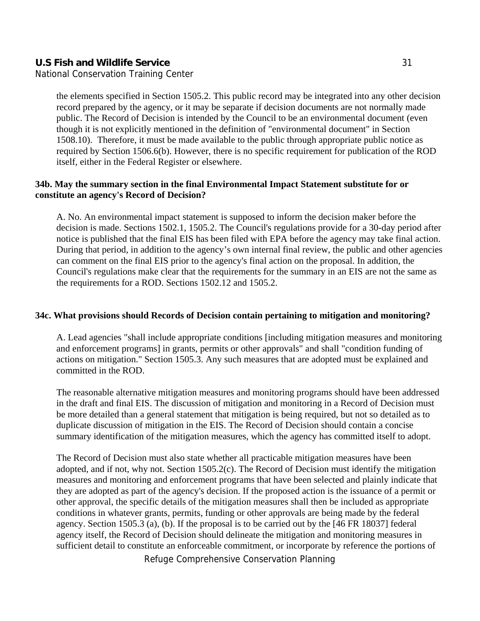National Conservation Training Center

the elements specified in Section 1505.2. This public record may be integrated into any other decision record prepared by the agency, or it may be separate if decision documents are not normally made public. The Record of Decision is intended by the Council to be an environmental document (even though it is not explicitly mentioned in the definition of "environmental document" in Section 1508.10). Therefore, it must be made available to the public through appropriate public notice as required by Section 1506.6(b). However, there is no specific requirement for publication of the ROD itself, either in the Federal Register or elsewhere.

## **34b. May the summary section in the final Environmental Impact Statement substitute for or constitute an agency's Record of Decision?**

A. No. An environmental impact statement is supposed to inform the decision maker before the decision is made. Sections 1502.1, 1505.2. The Council's regulations provide for a 30-day period after notice is published that the final EIS has been filed with EPA before the agency may take final action. During that period, in addition to the agency's own internal final review, the public and other agencies can comment on the final EIS prior to the agency's final action on the proposal. In addition, the Council's regulations make clear that the requirements for the summary in an EIS are not the same as the requirements for a ROD. Sections 1502.12 and 1505.2.

#### **34c. What provisions should Records of Decision contain pertaining to mitigation and monitoring?**

A. Lead agencies "shall include appropriate conditions [including mitigation measures and monitoring and enforcement programs] in grants, permits or other approvals" and shall "condition funding of actions on mitigation." Section 1505.3. Any such measures that are adopted must be explained and committed in the ROD.

The reasonable alternative mitigation measures and monitoring programs should have been addressed in the draft and final EIS. The discussion of mitigation and monitoring in a Record of Decision must be more detailed than a general statement that mitigation is being required, but not so detailed as to duplicate discussion of mitigation in the EIS. The Record of Decision should contain a concise summary identification of the mitigation measures, which the agency has committed itself to adopt.

The Record of Decision must also state whether all practicable mitigation measures have been adopted, and if not, why not. Section 1505.2(c). The Record of Decision must identify the mitigation measures and monitoring and enforcement programs that have been selected and plainly indicate that they are adopted as part of the agency's decision. If the proposed action is the issuance of a permit or other approval, the specific details of the mitigation measures shall then be included as appropriate conditions in whatever grants, permits, funding or other approvals are being made by the federal agency. Section 1505.3 (a), (b). If the proposal is to be carried out by the [46 FR 18037] federal agency itself, the Record of Decision should delineate the mitigation and monitoring measures in sufficient detail to constitute an enforceable commitment, or incorporate by reference the portions of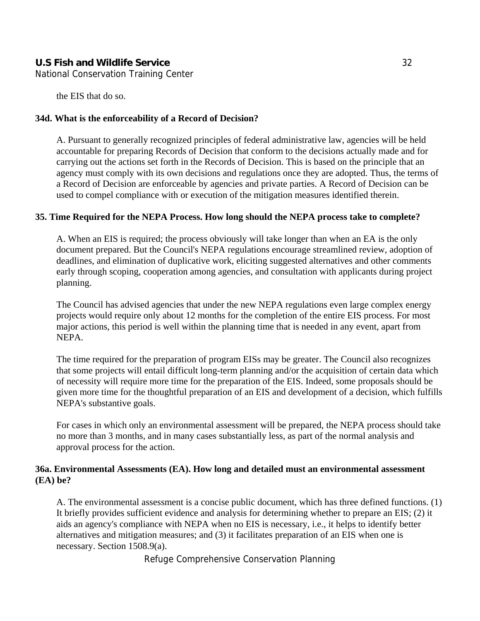National Conservation Training Center

the EIS that do so.

#### **34d. What is the enforceability of a Record of Decision?**

A. Pursuant to generally recognized principles of federal administrative law, agencies will be held accountable for preparing Records of Decision that conform to the decisions actually made and for carrying out the actions set forth in the Records of Decision. This is based on the principle that an agency must comply with its own decisions and regulations once they are adopted. Thus, the terms of a Record of Decision are enforceable by agencies and private parties. A Record of Decision can be used to compel compliance with or execution of the mitigation measures identified therein.

#### **35. Time Required for the NEPA Process. How long should the NEPA process take to complete?**

A. When an EIS is required; the process obviously will take longer than when an EA is the only document prepared. But the Council's NEPA regulations encourage streamlined review, adoption of deadlines, and elimination of duplicative work, eliciting suggested alternatives and other comments early through scoping, cooperation among agencies, and consultation with applicants during project planning.

The Council has advised agencies that under the new NEPA regulations even large complex energy projects would require only about 12 months for the completion of the entire EIS process. For most major actions, this period is well within the planning time that is needed in any event, apart from NEPA.

The time required for the preparation of program EISs may be greater. The Council also recognizes that some projects will entail difficult long-term planning and/or the acquisition of certain data which of necessity will require more time for the preparation of the EIS. Indeed, some proposals should be given more time for the thoughtful preparation of an EIS and development of a decision, which fulfills NEPA's substantive goals.

For cases in which only an environmental assessment will be prepared, the NEPA process should take no more than 3 months, and in many cases substantially less, as part of the normal analysis and approval process for the action.

#### **36a. Environmental Assessments (EA). How long and detailed must an environmental assessment (EA) be?**

 A. The environmental assessment is a concise public document, which has three defined functions. (1) It briefly provides sufficient evidence and analysis for determining whether to prepare an EIS; (2) it aids an agency's compliance with NEPA when no EIS is necessary, i.e., it helps to identify better alternatives and mitigation measures; and (3) it facilitates preparation of an EIS when one is necessary. Section 1508.9(a).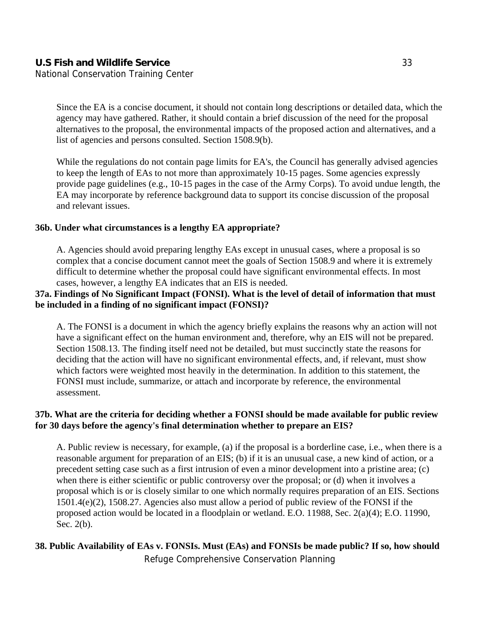Since the EA is a concise document, it should not contain long descriptions or detailed data, which the agency may have gathered. Rather, it should contain a brief discussion of the need for the proposal alternatives to the proposal, the environmental impacts of the proposed action and alternatives, and a list of agencies and persons consulted. Section 1508.9(b).

While the regulations do not contain page limits for EA's, the Council has generally advised agencies to keep the length of EAs to not more than approximately 10-15 pages. Some agencies expressly provide page guidelines (e.g., 10-15 pages in the case of the Army Corps). To avoid undue length, the EA may incorporate by reference background data to support its concise discussion of the proposal and relevant issues.

## **36b. Under what circumstances is a lengthy EA appropriate?**

A. Agencies should avoid preparing lengthy EAs except in unusual cases, where a proposal is so complex that a concise document cannot meet the goals of Section 1508.9 and where it is extremely difficult to determine whether the proposal could have significant environmental effects. In most cases, however, a lengthy EA indicates that an EIS is needed.

## **37a. Findings of No Significant Impact (FONSI). What is the level of detail of information that must be included in a finding of no significant impact (FONSI)?**

A. The FONSI is a document in which the agency briefly explains the reasons why an action will not have a significant effect on the human environment and, therefore, why an EIS will not be prepared. Section 1508.13. The finding itself need not be detailed, but must succinctly state the reasons for deciding that the action will have no significant environmental effects, and, if relevant, must show which factors were weighted most heavily in the determination. In addition to this statement, the FONSI must include, summarize, or attach and incorporate by reference, the environmental assessment.

## **37b. What are the criteria for deciding whether a FONSI should be made available for public review for 30 days before the agency's final determination whether to prepare an EIS?**

A. Public review is necessary, for example, (a) if the proposal is a borderline case, i.e., when there is a reasonable argument for preparation of an EIS; (b) if it is an unusual case, a new kind of action, or a precedent setting case such as a first intrusion of even a minor development into a pristine area; (c) when there is either scientific or public controversy over the proposal; or (d) when it involves a proposal which is or is closely similar to one which normally requires preparation of an EIS. Sections 1501.4(e)(2), 1508.27. Agencies also must allow a period of public review of the FONSI if the proposed action would be located in a floodplain or wetland. E.O. 11988, Sec. 2(a)(4); E.O. 11990, Sec. 2(b).

## Refuge Comprehensive Conservation Planning **38. Public Availability of EAs v. FONSIs. Must (EAs) and FONSIs be made public? If so, how should**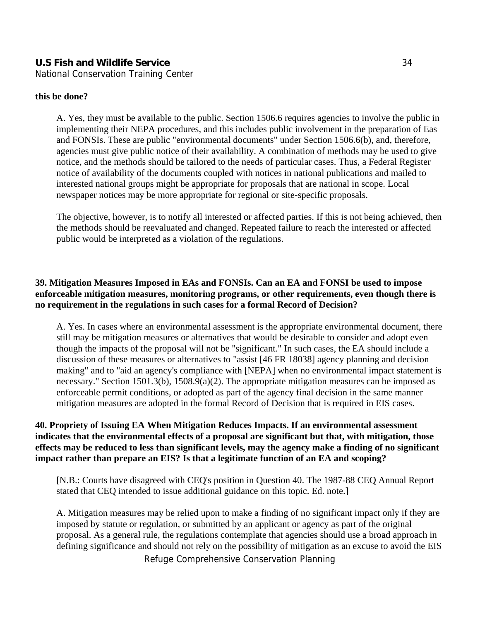#### **this be done?**

A. Yes, they must be available to the public. Section 1506.6 requires agencies to involve the public in implementing their NEPA procedures, and this includes public involvement in the preparation of Eas and FONSIs. These are public "environmental documents" under Section 1506.6(b), and, therefore, agencies must give public notice of their availability. A combination of methods may be used to give notice, and the methods should be tailored to the needs of particular cases. Thus, a Federal Register notice of availability of the documents coupled with notices in national publications and mailed to interested national groups might be appropriate for proposals that are national in scope. Local newspaper notices may be more appropriate for regional or site-specific proposals.

The objective, however, is to notify all interested or affected parties. If this is not being achieved, then the methods should be reevaluated and changed. Repeated failure to reach the interested or affected public would be interpreted as a violation of the regulations.

## **39. Mitigation Measures Imposed in EAs and FONSIs. Can an EA and FONSI be used to impose enforceable mitigation measures, monitoring programs, or other requirements, even though there is no requirement in the regulations in such cases for a formal Record of Decision?**

A. Yes. In cases where an environmental assessment is the appropriate environmental document, there still may be mitigation measures or alternatives that would be desirable to consider and adopt even though the impacts of the proposal will not be "significant." In such cases, the EA should include a discussion of these measures or alternatives to "assist [46 FR 18038] agency planning and decision making" and to "aid an agency's compliance with [NEPA] when no environmental impact statement is necessary." Section 1501.3(b), 1508.9(a)(2). The appropriate mitigation measures can be imposed as enforceable permit conditions, or adopted as part of the agency final decision in the same manner mitigation measures are adopted in the formal Record of Decision that is required in EIS cases.

## **40. Propriety of Issuing EA When Mitigation Reduces Impacts. If an environmental assessment indicates that the environmental effects of a proposal are significant but that, with mitigation, those effects may be reduced to less than significant levels, may the agency make a finding of no significant impact rather than prepare an EIS? Is that a legitimate function of an EA and scoping?**

[N.B.: Courts have disagreed with CEQ's position in Question 40. The 1987-88 CEQ Annual Report stated that CEQ intended to issue additional guidance on this topic. Ed. note.]

A. Mitigation measures may be relied upon to make a finding of no significant impact only if they are imposed by statute or regulation, or submitted by an applicant or agency as part of the original proposal. As a general rule, the regulations contemplate that agencies should use a broad approach in defining significance and should not rely on the possibility of mitigation as an excuse to avoid the EIS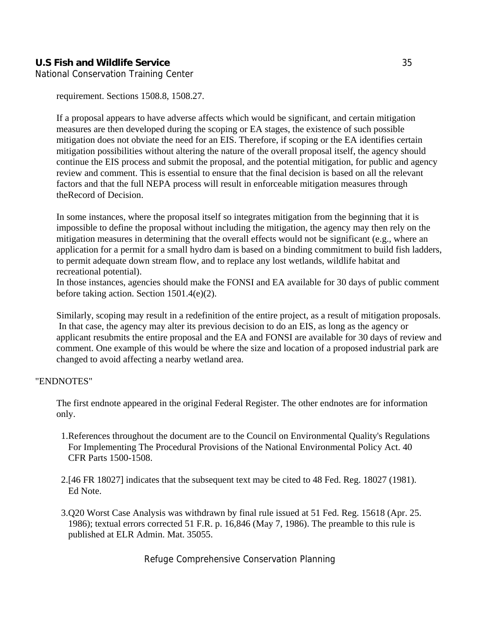National Conservation Training Center

requirement. Sections 1508.8, 1508.27.

If a proposal appears to have adverse affects which would be significant, and certain mitigation measures are then developed during the scoping or EA stages, the existence of such possible mitigation does not obviate the need for an EIS. Therefore, if scoping or the EA identifies certain mitigation possibilities without altering the nature of the overall proposal itself, the agency should continue the EIS process and submit the proposal, and the potential mitigation, for public and agency review and comment. This is essential to ensure that the final decision is based on all the relevant factors and that the full NEPA process will result in enforceable mitigation measures through theRecord of Decision.

In some instances, where the proposal itself so integrates mitigation from the beginning that it is impossible to define the proposal without including the mitigation, the agency may then rely on the mitigation measures in determining that the overall effects would not be significant (e.g., where an application for a permit for a small hydro dam is based on a binding commitment to build fish ladders, to permit adequate down stream flow, and to replace any lost wetlands, wildlife habitat and recreational potential).

In those instances, agencies should make the FONSI and EA available for 30 days of public comment before taking action. Section 1501.4(e)(2).

 Similarly, scoping may result in a redefinition of the entire project, as a result of mitigation proposals. In that case, the agency may alter its previous decision to do an EIS, as long as the agency or applicant resubmits the entire proposal and the EA and FONSI are available for 30 days of review and comment. One example of this would be where the size and location of a proposed industrial park are changed to avoid affecting a nearby wetland area.

#### "ENDNOTES"

The first endnote appeared in the original Federal Register. The other endnotes are for information only.

- 1.References throughout the document are to the Council on Environmental Quality's Regulations For Implementing The Procedural Provisions of the National Environmental Policy Act. 40 CFR Parts 1500-1508.
- 2.[46 FR 18027] indicates that the subsequent text may be cited to 48 Fed. Reg. 18027 (1981). Ed Note.
- 3.Q20 Worst Case Analysis was withdrawn by final rule issued at 51 Fed. Reg. 15618 (Apr. 25. 1986); textual errors corrected 51 F.R. p. 16,846 (May 7, 1986). The preamble to this rule is published at ELR Admin. Mat. 35055.